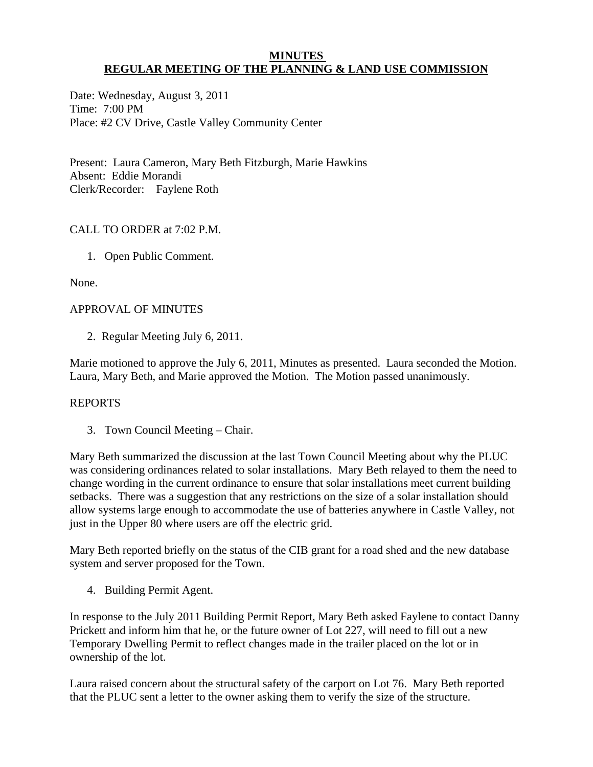#### **MINUTES REGULAR MEETING OF THE PLANNING & LAND USE COMMISSION**

Date: Wednesday, August 3, 2011 Time: 7:00 PM Place: #2 CV Drive, Castle Valley Community Center

Present: Laura Cameron, Mary Beth Fitzburgh, Marie Hawkins Absent: Eddie Morandi Clerk/Recorder: Faylene Roth

# CALL TO ORDER at 7:02 P.M.

1. Open Public Comment.

None.

# APPROVAL OF MINUTES

2. Regular Meeting July 6, 2011.

Marie motioned to approve the July 6, 2011, Minutes as presented. Laura seconded the Motion. Laura, Mary Beth, and Marie approved the Motion. The Motion passed unanimously.

### REPORTS

3. Town Council Meeting – Chair.

Mary Beth summarized the discussion at the last Town Council Meeting about why the PLUC was considering ordinances related to solar installations. Mary Beth relayed to them the need to change wording in the current ordinance to ensure that solar installations meet current building setbacks. There was a suggestion that any restrictions on the size of a solar installation should allow systems large enough to accommodate the use of batteries anywhere in Castle Valley, not just in the Upper 80 where users are off the electric grid.

Mary Beth reported briefly on the status of the CIB grant for a road shed and the new database system and server proposed for the Town.

4. Building Permit Agent.

In response to the July 2011 Building Permit Report, Mary Beth asked Faylene to contact Danny Prickett and inform him that he, or the future owner of Lot 227, will need to fill out a new Temporary Dwelling Permit to reflect changes made in the trailer placed on the lot or in ownership of the lot.

Laura raised concern about the structural safety of the carport on Lot 76. Mary Beth reported that the PLUC sent a letter to the owner asking them to verify the size of the structure.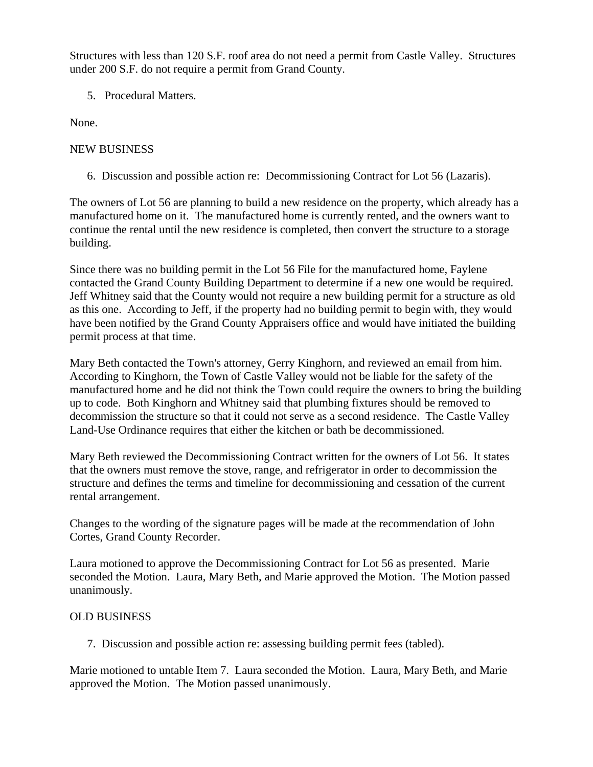Structures with less than 120 S.F. roof area do not need a permit from Castle Valley. Structures under 200 S.F. do not require a permit from Grand County.

5. Procedural Matters.

None.

### NEW BUSINESS

6. Discussion and possible action re: Decommissioning Contract for Lot 56 (Lazaris).

The owners of Lot 56 are planning to build a new residence on the property, which already has a manufactured home on it. The manufactured home is currently rented, and the owners want to continue the rental until the new residence is completed, then convert the structure to a storage building.

Since there was no building permit in the Lot 56 File for the manufactured home, Faylene contacted the Grand County Building Department to determine if a new one would be required. Jeff Whitney said that the County would not require a new building permit for a structure as old as this one. According to Jeff, if the property had no building permit to begin with, they would have been notified by the Grand County Appraisers office and would have initiated the building permit process at that time.

Mary Beth contacted the Town's attorney, Gerry Kinghorn, and reviewed an email from him. According to Kinghorn, the Town of Castle Valley would not be liable for the safety of the manufactured home and he did not think the Town could require the owners to bring the building up to code. Both Kinghorn and Whitney said that plumbing fixtures should be removed to decommission the structure so that it could not serve as a second residence. The Castle Valley Land-Use Ordinance requires that either the kitchen or bath be decommissioned.

Mary Beth reviewed the Decommissioning Contract written for the owners of Lot 56. It states that the owners must remove the stove, range, and refrigerator in order to decommission the structure and defines the terms and timeline for decommissioning and cessation of the current rental arrangement.

Changes to the wording of the signature pages will be made at the recommendation of John Cortes, Grand County Recorder.

Laura motioned to approve the Decommissioning Contract for Lot 56 as presented. Marie seconded the Motion. Laura, Mary Beth, and Marie approved the Motion. The Motion passed unanimously.

# OLD BUSINESS

7. Discussion and possible action re: assessing building permit fees (tabled).

Marie motioned to untable Item 7. Laura seconded the Motion. Laura, Mary Beth, and Marie approved the Motion. The Motion passed unanimously.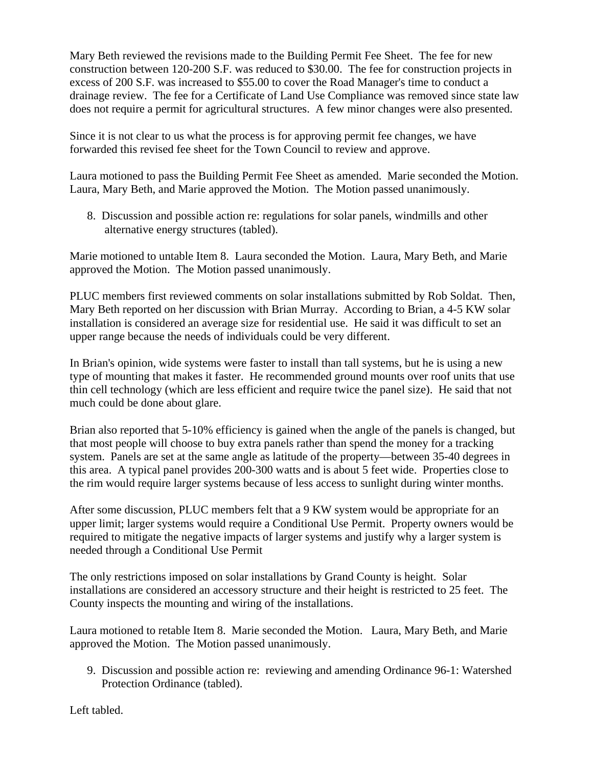Mary Beth reviewed the revisions made to the Building Permit Fee Sheet. The fee for new construction between 120-200 S.F. was reduced to \$30.00. The fee for construction projects in excess of 200 S.F. was increased to \$55.00 to cover the Road Manager's time to conduct a drainage review. The fee for a Certificate of Land Use Compliance was removed since state law does not require a permit for agricultural structures. A few minor changes were also presented.

Since it is not clear to us what the process is for approving permit fee changes, we have forwarded this revised fee sheet for the Town Council to review and approve.

Laura motioned to pass the Building Permit Fee Sheet as amended. Marie seconded the Motion. Laura, Mary Beth, and Marie approved the Motion. The Motion passed unanimously.

 8. Discussion and possible action re: regulations for solar panels, windmills and other alternative energy structures (tabled).

Marie motioned to untable Item 8. Laura seconded the Motion. Laura, Mary Beth, and Marie approved the Motion. The Motion passed unanimously.

PLUC members first reviewed comments on solar installations submitted by Rob Soldat. Then, Mary Beth reported on her discussion with Brian Murray. According to Brian, a 4-5 KW solar installation is considered an average size for residential use. He said it was difficult to set an upper range because the needs of individuals could be very different.

In Brian's opinion, wide systems were faster to install than tall systems, but he is using a new type of mounting that makes it faster. He recommended ground mounts over roof units that use thin cell technology (which are less efficient and require twice the panel size). He said that not much could be done about glare.

Brian also reported that 5-10% efficiency is gained when the angle of the panels is changed, but that most people will choose to buy extra panels rather than spend the money for a tracking system. Panels are set at the same angle as latitude of the property—between 35-40 degrees in this area. A typical panel provides 200-300 watts and is about 5 feet wide. Properties close to the rim would require larger systems because of less access to sunlight during winter months.

After some discussion, PLUC members felt that a 9 KW system would be appropriate for an upper limit; larger systems would require a Conditional Use Permit. Property owners would be required to mitigate the negative impacts of larger systems and justify why a larger system is needed through a Conditional Use Permit

The only restrictions imposed on solar installations by Grand County is height. Solar installations are considered an accessory structure and their height is restricted to 25 feet. The County inspects the mounting and wiring of the installations.

Laura motioned to retable Item 8. Marie seconded the Motion. Laura, Mary Beth, and Marie approved the Motion. The Motion passed unanimously.

9. Discussion and possible action re: reviewing and amending Ordinance 96-1: Watershed Protection Ordinance (tabled).

Left tabled.